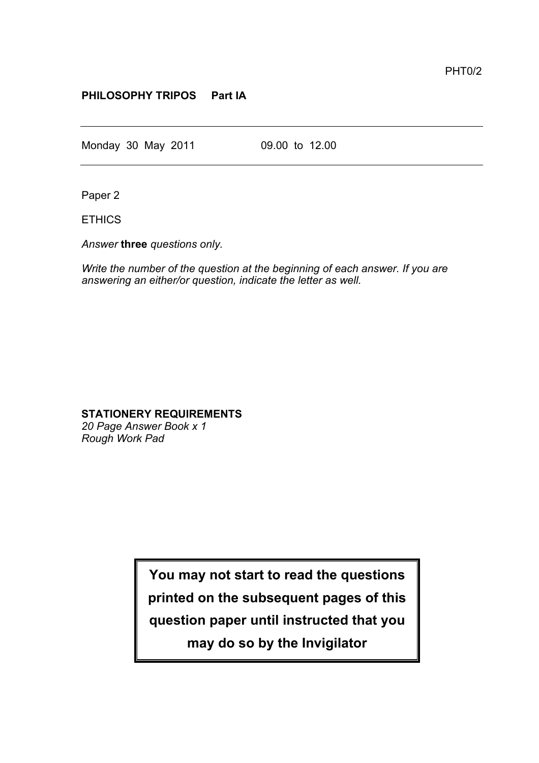## **PHILOSOPHY TRIPOS Part IA**

Monday 30 May 2011 09.00 to 12.00

Paper 2

ETHICS

*Answer* **three** *questions only.*

*Write the number of the question at the beginning of each answer. If you are answering an either/or question, indicate the letter as well.*

## **STATIONERY REQUIREMENTS**

*20 Page Answer Book x 1 Rough Work Pad*

**You may not start to read the questions**

**printed on the subsequent pages of this**

**question paper until instructed that you**

**may do so by the Invigilator**